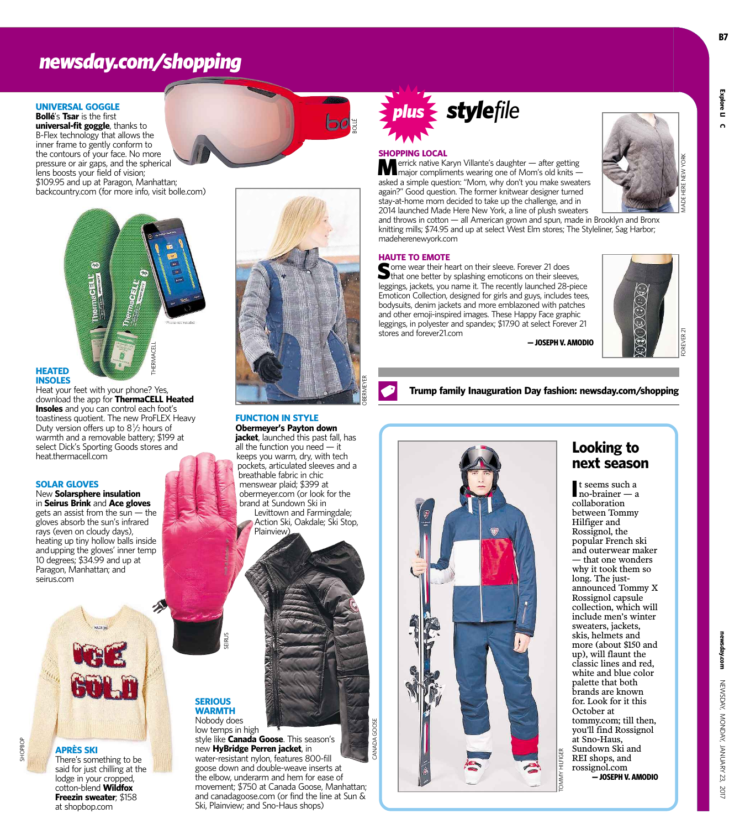### *newsday.com/shopping*

#### **UNIVERSAL GOGGLE Bollé**'s **Tsar** is the first

**universal-fit goggle**, thanks to B-Flex technology that allows the inner frame to gently conform to the contours of your face. No more pressure or air gaps, and the spherical lens boosts your field of vision; \$109.95 and up at Paragon, Manhattan; backcountry.com (for more info, visit bolle.com)



#### **HEATED INSOLES**

Heat your feet with your phone? Yes, download the app for **ThermaCELL Heated Insoles** and you can control each foot's toastiness quotient. The new ProFLEX Heavy Duty version offers up to  $8\frac{1}{2}$  hours of warmth and a removable battery; \$199 at select Dick's Sporting Goods stores and heat.thermacell.com

#### **SOLAR GLOVES**

New **Solarsphere insulation** in **Seirus Brink** and **Ace gloves** gets an assist from the sun — the gloves absorb the sun's infrared rays (even on cloudy days), heating up tiny hollow balls inside andupping the gloves' inner temp 10 degrees; \$34.99 and up at Paragon, Manhattan; and seirus.com



**APRÈS SKI** There's something to be said for just chilling at the lodge in your cropped, cotton-blend **Wildfox Freezin sweater**; \$158 at shopbop.com



OBERMEYER

BOLLÉ

#### **FUNCTION IN STYLE Obermeyer's Payton down**

**jacket**, launched this past fall, has all the function you need — it keeps you warm, dry, with tech pockets, articulated sleeves and a breathable fabric in chic menswear plaid; \$399 at obermeyer.com (or look for the brand at Sundown Ski in Levittown and Farmingdale;

Action Ski, Oakdale; Ski Stop, Plainview)

**SERIOUS WARMTH** Nobody does

SEIRUS

low temps in high style like **Canada Goose**. This season's new **HyBridge Perren jacket**, in water-resistant nylon, features 800-fill goose down and double-weave inserts at the elbow, underarm and hem for ease of movement; \$750 at Canada Goose, Manhattan; and canadagoose.com (or find the line at Sun & Ski, Plainview; and Sno-Haus shops)

# *plus stylefile*

#### **SHOPPING LOCAL**

Merrick native Karyn Villante's daughter — after getting major compliments wearing one of Mom's old knits asked a simple question: "Mom, why don't you make sweaters again?" Good question. The former knitwear designer turned stay-at-home mom decided to take up the challenge, and in 2014 launched Made Here New York, a line of plush sweaters

and throws in cotton — all American grown and spun, made in Brooklyn and Bronx knitting mills; \$74.95 and up at select West Elm stores; The Styleliner, Sag Harbor; madeherenewyork.com

#### **HAUTE TO EMOTE**

Some wear their heart on their sleeve. Forever 21 does<br>that one better by splashing emoticons on their sleeves, leggings, jackets, you name it. The recently launched 28-piece Emoticon Collection, designed for girls and guys, includes tees, bodysuits, denim jackets and more emblazoned with patches and other emoji-inspired images. These Happy Face graphic leggings, in polyester and spandex; \$17.90 at select Forever 21 stores and forever21.com

**— JOSEPH V. AMODIO**



MADE HERE NEW YORK

**Trump family Inauguration Day fashion: newsday.com/shopping**



#### **Looking to next season**

**I** t seems such a<br>
no-brainer — a t seems such a collaboration between Tommy Hilfiger and Rossignol, the popular French ski and outerwear maker — that one wonders why it took them so long. The justannounced Tommy X Rossignol capsule collection, which will include men's winter sweaters, jackets, skis, helmets and more (about \$150 and up), will flaunt the classic lines and red, white and blue color palette that both brands are known for. Look for it this October at tommy.com; till then, you'll find Rossignol at Sno-Haus, Sundown Ski and REI shops, and rossignol.com **— JOSEPH V. AMODIO**

**Explore LI**

**C**